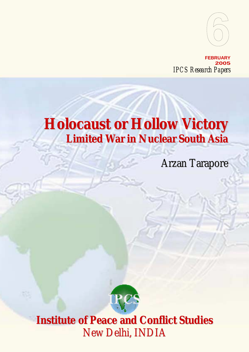

**FEBRUARY 2005** *IPCS Research Papers*

# **Holocaust or Hollow Victory Limited War in Nuclear South Asia**

Arzan Tarapore



New Delhi, INDIA **Institute of Peace and Conflict Studies**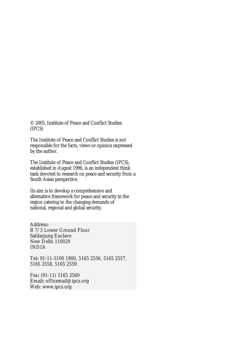© 2005, Institute of Peace and Conflict Studies (IPCS)

The Institute of Peace and Conflict Studies is not responsible for the facts, views or opinion expressed by the author.

The Institute of Peace and Conflict Studies (IPCS), established in August 1996, is an independent think tank devoted to research on peace and security from a South Asian perspective.

Its aim is to develop a comprehensive and alternative framework for peace and security in the region catering to the changing demands of national, regional and global security.

Address: B 7/3 Lower Ground Floor Safdarjung Enclave New Delhi 110029 INDIA

Tel**:** 91-11-5100 1900, 5165 2556, 5165 2557, 5165 2558, 5165 2559

Fax**:** (91-11) 5165 2560 Email**:** officemail@ipcs.org Web: www.ipcs.org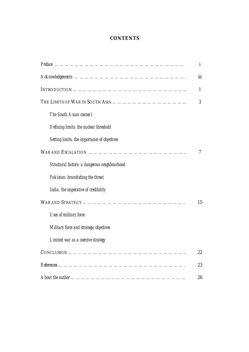# **CONTENTS**

|                                               | i   |
|-----------------------------------------------|-----|
|                                               | iii |
|                                               | 1   |
|                                               | 3   |
| The South Asian context                       |     |
| Defining limits: the nuclear threshold        |     |
| Setting limits: the importance of objectives  |     |
|                                               | 7   |
| Structural factors: a dangerous neighbourhood |     |
| Pakistan: brandishing the threat              |     |
| India: the imperative of credibility          |     |
|                                               | 15  |
| <b>Uses of military force</b>                 |     |
| Military force and strategic objectives       |     |
| Limited war as a coercive strategy            |     |
|                                               | 22  |
|                                               | 23  |
|                                               | 26  |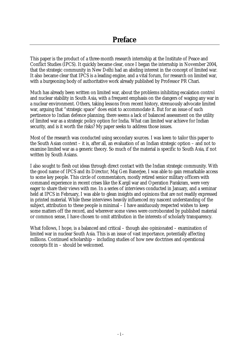This paper is the product of a three-month research internship at the Institute of Peace and Conflict Studies (IPCS). It quickly became clear, once I began the internship in November 2004, that the strategic community in New Delhi had an abiding interest in the concept of limited war. It also became clear that IPCS is a leading engine, and a vital forum, for research on limited war, with a burgeoning body of authoritative work already published by Professor PR Chari.

Much has already been written on limited war, about the problems inhibiting escalation control and nuclear stability in South Asia, with a frequent emphasis on the dangers of waging any war in a nuclear environment. Others, taking lessons from recent history, strenuously advocate limited war, arguing that "strategic space" does exist to accommodate it. But for an issue of such pertinence to Indian defence planning, there seems a lack of balanced assessment on the utility of limited war as a strategic policy option for India. What can limited war achieve for Indian security, and is it worth the risks? My paper seeks to address those issues.

Most of the research was conducted using secondary sources. I was keen to tailor this paper to the South Asian context – it is, after all, an evaluation of an Indian strategic option – and not to examine limited war as a generic theory. So much of the material is specific to South Asia, if not written by South Asians.

I also sought to flesh out ideas through direct contact with the Indian strategic community. With the good name of IPCS and its Director, Maj Gen Banerjee, I was able to gain remarkable access to some key people. This circle of commentators, mostly retired senior military officers with command experience in recent crises like the Kargil war and Operation Parakram, were very eager to share their views with me. In a series of interviews conducted in January, and a seminar held at IPCS in February, I was able to glean insights and opinions that are not readily expressed in printed material. While these interviews heavily influenced my nascent understanding of the subject, attribution to these people is minimal – I have assiduously respected wishes to keep some matters off the record, and wherever some views were corroborated by published material or common sense, I have chosen to omit attribution in the interests of scholarly transparency.

What follows, I hope, is a balanced and critical – though also opinionated – examination of limited war in nuclear South Asia. This is an issue of vast importance, potentially affecting millions. Continued scholarship – including studies of how new doctrines and operational concepts fit in – should be welcomed.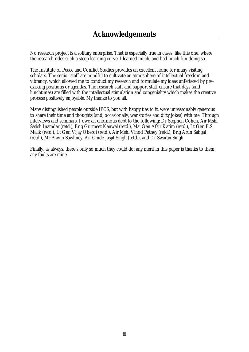No research project is a solitary enterprise. That is especially true in cases, like this one, where the research rides such a steep learning curve. I learned much, and had much fun doing so.

The Institute of Peace and Conflict Studies provides an excellent home for many visiting scholars. The senior staff are mindful to cultivate an atmosphere of intellectual freedom and vibrancy, which allowed me to conduct my research and formulate my ideas unfettered by preexisting positions or agendas. The research staff and support staff ensure that days (and lunchtimes) are filled with the intellectual stimulation and congeniality which makes the creative process positively enjoyable. My thanks to you all.

Many distinguished people outside IPCS, but with happy ties to it, were unreasonably generous to share their time and thoughts (and, occasionally, war stories and dirty jokes) with me. Through interviews and seminars, I owe an enormous debt to the following: Dr Stephen Cohen, Air Mshl Satish Inamdar (retd.), Brig Gurmeet Kanwal (retd.), Maj Gen Afsir Karim (retd.), Lt Gen B.S. Malik (retd.), Lt Gen Vijay Oberoi (retd.), Air Mshl Vinod Patney (retd.), Brig Arun Sahgal (retd.), Mr Pravin Sawhney, Air Cmde Jasjit Singh (retd.), and Dr Swaran Singh.

Finally, as always, there's only so much they could do: any merit in this paper is thanks to them; any faults are mine.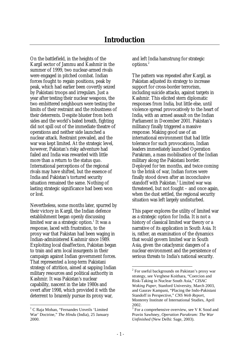On the battlefield, in the heights of the Kargil sector of Jammu and Kashmir in the summer of 1999, two nuclear-armed rivals were engaged in pitched combat. Indian forces fought to regain positions, peak by peak, which had earlier been covertly seized by Pakistani troops and irregulars. Just a year after testing their nuclear weapons, the two embittered neighbours were testing the limits of their restraint and the robustness of their deterrents. Despite bluster from both sides and the world's bated breath, fighting did not spill out of the immediate theatre of operations and neither side launched a nuclear attack. Restraint prevailed, and the war was kept limited. At the strategic level, however, Pakistan's risky adventure had failed and India was rewarded with little more than a return to the status quo. International perceptions of the regional rivals may have shifted, but the essence of India and Pakistan's tortured security situation remained the same. Nothing of lasting strategic significance had been won or lost.

Nevertheless, some months later, spurred by their victory in Kargil, the Indian defence establishment began openly discussing limited war as a strategic option. $^{\rm 1}$  It was a response, laced with frustration, to the proxy war that Pakistan had been waging in Indian-administered Kashmir since 1989. Exploiting local disaffection, Pakistan began to train and arm local insurgents in their campaign against Indian government forces. That represented a long-term Pakistani strategy of attrition, aimed at sapping Indian military resources and political authority in Kashmir. It was Pakistan's nuclear capability, nascent in the late 1980s and overt after 1998, which provided it with the deterrent to brazenly pursue its proxy war,

 $\overline{a}$ 

and left India hamstrung for strategic options.<sup>2</sup>

The pattern was repeated after Kargil, as Pakistan adjusted its strategy to increase support for cross-border terrorism, including suicide attacks, against targets in Kashmir. This elicited stern diplomatic responses from India, but little else, until violence spread provocatively to the heart of India, with an armed assault on the Indian Parliament in December 2001. Pakistan's militancy finally triggered a massive response. Making good use of an international environment that had little tolerance for such provocations, Indian leaders immediately launched Operation Parakram, a mass mobilisation of the Indian military along the Pakistani border. Deployed for ten months, and twice coming to the brink of war, Indian forces were finally stood down after an inconclusive standoff with Pakistan.3 Limited war was threatened, but not fought – and once again, when the dust settled, the regional security situation was left largely undisturbed.

This paper explores the utility of limited war as a strategic option for India. It is not a history of classical limited war theory or a narrative of its application in South Asia. It is, rather, an examination of the dynamics that would govern limited war in South Asia, given the cataclysmic dangers of a nuclear environment and the persistence of serious threats to India's national security.

<sup>&</sup>lt;sup>1</sup> C Raja Mohan, "Fernandes Unveils 'Limited War' Doctrine," *The Hindu* (India), 25 January 2000.

 $2^2$  For useful backgrounds on Pakistan's proxy war strategy, see Verghese Koithara, "Coercion and Risk-Taking in Nuclear South Asia," *CISAC Woking Paper*, Stanford University, March 2003, and Gaurav Kampani, "Placing the Indo-Pakistani Standoff in Perspective," *CNS Web Report*, Monterey Institute of International Studies, April 2002.

<sup>&</sup>lt;sup>3</sup> For a comprehensive overview, see V K Sood and Pravin Sawhney, *Operation Parakram: The War Unfinished* (New Delhi: Sage, 2003).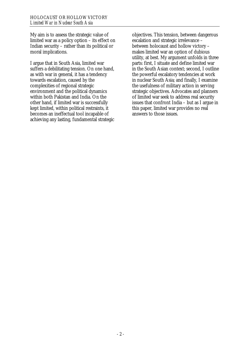My aim is to assess the strategic value of limited war as a policy option – its effect on Indian security – rather than its political or moral implications.

I argue that in South Asia, limited war suffers a debilitating tension. On one hand, as with war in general, it has a tendency towards escalation, caused by the complexities of regional strategic environment and the political dynamics within both Pakistan and India. On the other hand, if limited war is successfully kept limited, within political restraints, it becomes an ineffectual tool incapable of achieving any lasting, fundamental strategic objectives. This tension, between dangerous escalation and strategic irrelevance – between holocaust and hollow victory – makes limited war an option of dubious utility, at best. My argument unfolds in three parts: first, I situate and define limited war in the South Asian context; second, I outline the powerful escalatory tendencies at work in nuclear South Asia; and finally, I examine the usefulness of military action in serving strategic objectives. Advocates and planners of limited war seek to address real security issues that confront India – but as I argue in this paper, limited war provides no real answers to those issues.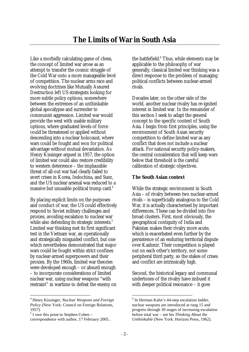Like a morbidly calculating game of chess, the concept of limited war arose as an attempt to transfer the cosmic struggle of the Cold War onto a more manageable level of competition. The nuclear arms race and evolving doctrines like Mutually Assured Destruction left US strategists looking for more subtle policy options, somewhere between the extremes of an unthinkable global apocalypse and surrender to communist aggression. Limited war would provide the west with usable military options, where graduated levels of force could be threatened or applied without descending into a nuclear holocaust, where wars could be fought and won for political advantage without mutual devastation. As Henry Kissinger argued in 1957, the option of limited war could also restore credibility to western deterrence – the implausible threat of all-out war had clearly failed to avert crises in Korea, Indochina, and Suez, and the US nuclear arsenal was reduced to a massive but unusable political trump card. $4$ 

By placing explicit limits on the purposes and conduct of war, the US could effectively respond to Soviet military challenges and proxies, avoiding escalation to nuclear war while also defending its strategic interests.<sup>5</sup> Limited war thinking met its first significant test in the Vietnam war, an operationally and strategically misguided conflict, but one which nevertheless demonstrated that major wars could be fought within strict confines by nuclear-armed superpowers and their proxies. By the 1960s, limited war theories were developed enough – or absurd enough – to incorporate considerations of limited nuclear war, using nuclear weapons "with restraint" in wartime to defeat the enemy on

the battlefield.<sup>6</sup> Thus, while elements may be applicable to the philosophy of war generally, classical limited war thinking was a direct response to the problem of managing political conflicts between nuclear-armed rivals.

Decades later, on the other side of the world, another nuclear rivalry has re-ignited interest in limited war. In the remainder of this section I seek to adapt the general concept to the specific context of South Asia. I begin from first principles, using the environment of South Asian security competition to define limited war as any conflict that does not include a nuclear attack. For national security policy-makers, the central consideration that will keep wars below that threshold is the careful calibration of strategic objectives.

## **The South Asian context**

While the strategic environment in South Asia – of rivalry between two nuclear-armed rivals – is superficially analogous to the Cold War, it is actually characterised by important differences. These can be divided into five broad clusters. First, most obviously, the geographical contiguity of India and Pakistan makes their rivalry more acute, which is exacerbated even further by the persistence of an enduring territorial dispute over Kashmir. Their competition is played out on each other's territory, not some peripheral third party, so the stakes of crises and conflict are intrinsically high.

Second, the historical legacy and communal undertones of the rivalry have imbued it with deeper political resonance – it goes

<sup>4</sup> Henry Kissinger, *Nuclear Weapons and Foreign Policy* (New York: Council on Foreign Relations, 1957).

 $<sup>5</sup>$  I owe this point to Stephen Cohen –</sup>

correspondence with author, 17 February 2005..

<sup>&</sup>lt;sup>6</sup> In Herman Kahn's 44-step escalation ladder, nuclear weapons are introduced at rung 15 and progress through 30 stages of increasing escalation before total war – see his *Thinking About the Unthinkable* (New York: Horizon Press, 1962).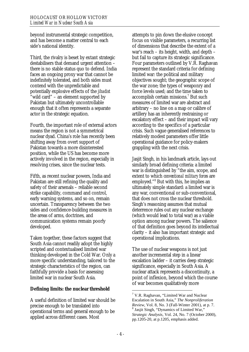beyond instrumental strategic competition, and has become a matter central to each side's national identity.

Third, the rivalry is beset by extant strategic destabilisers that demand urgent attention – there is no stable status quo to defend. India faces an ongoing proxy war that cannot be indefinitely tolerated, and both sides must contend with the unpredictable and potentially explosive effects of the *jihadist* "wild card" – an element supported by Pakistan but ultimately uncontrollable enough that it often represents a separate actor in the strategic equation.

Fourth, the important role of external actors means the region is not a symmetrical nuclear dyad. China's role has recently been shifting away from overt support of Pakistan towards a more disinterested position, while the US has become more actively involved in the region, especially in resolving crises, since the nuclear tests.

Fifth, as recent nuclear powers, India and Pakistan are still refining the quality and safety of their arsenals – reliable second strike capability, command and control, early warning systems, and so on, remain uncertain. Transparency between the two sides and confidence-building measures in the areas of arms, doctrines, and communication systems remain poorly developed.

Taken together, these factors suggest that South Asia cannot readily adopt the highly scripted and contextualised limited war thinking developed in the Cold War. Only a more specific understanding, tailored to the strategic characteristics of the region, can faithfully provide a basis for assessing limited war in nuclear South Asia.

# **Defining limits: the nuclear threshold**

A useful definition of limited war should be precise enough to be translated into operational terms and general enough to be applied across different cases. Most

attempts to pin down the elusive concept focus on visible parameters, a recurring list of dimensions that describe the extent of a war's reach – its height, width, and depth – but fail to capture its strategic significance. Four parameters outlined by V.R. Raghavan represent the standard criteria for defining limited war: the political and military objectives sought; the geographic scope of the war zone; the types of weaponry and force levels used; and the time taken to accomplish certain missions.7 But such measures of limited war are abstract and arbitrary – no line on a map or calibre of artillery has an inherently restraining or escalatory effect – and their impact will vary according to the specifics of a particular crisis. Such vague generalised references to relatively modest parameters offer little operational guidance for policy-makers grappling with the next crisis.

Jasjit Singh, in his landmark article, lays out similarly broad defining criteria: a limited war is distinguished by "the aim, scope, and extent to which *conventional military forces* are employed."8 But with this, he implies an ultimately simple standard: a limited war is any war, conventional or sub-conventional, that does not cross the nuclear threshold. Singh's reasoning assumes that mutual deterrence rules out any nuclear exchange (which would lead to total war) as a viable option among nuclear powers. The salience of that definition goes beyond its intellectual clarity – it also has important strategic and operational implications.

The use of nuclear weapons is not just another incremental step in a linear escalation ladder – it carries deep strategic significance, especially in South Asia. A nuclear attack represents a discontinuity, a point of inflexion, beyond which the course of war becomes qualitatively more

<sup>&</sup>lt;sup>7</sup> V.R. Raghavan, "Limited War and Nuclear Escalation in South Asia," *The Nonproliferation Review*, Vol. 8, No. 3 (Fall-Winter 2001), at p. 7.  $<sup>8</sup>$  Jasjit Singh, "Dynamics of Limited War,"</sup> *Strategic Analysis*, Vol. 24, No. 7 (October 2000), pp.1205-20, at p.1205, emphasis added.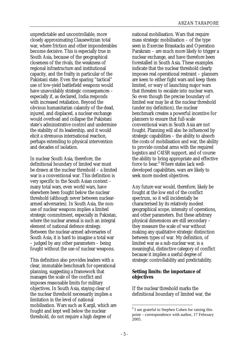unpredictable and uncontrollable, more closely approximating Clausewitzian total war, where friction and other imponderables become decisive. This is especially true in South Asia, because of the geographical closeness of the rivals, the weakness of regional infrastructure and institutional capacity, and the frailty in particular of the Pakistani state. Even the sparing "tactical" use of low-yield battlefield weapons would have unavoidably strategic consequences – especially if, as declared, India responds with increased retaliation. Beyond the obvious humanitarian calamity of the dead, injured, and displaced, a nuclear exchange would overload and collapse the Pakistani state's administrative control and undermine the stability of its leadership, and it would elicit a strenuous international reaction, perhaps extending to physical intervention and decades of isolation.

In nuclear South Asia, therefore, the definitional boundary of limited war must be drawn at the nuclear threshold – a limited war is a conventional war. This definition is very specific to the South Asian context – many total wars, even world wars, have elsewhere been fought below the nuclear threshold (although never between nucleararmed adversaries). In South Asia, the nonuse of nuclear weapons implies a limited strategic commitment, especially in Pakistan, where the nuclear arsenal is such an integral element of national defence strategy. Between the nuclear-armed adversaries of South Asia, it is hard to imagine a total war – judged by any other parameters – being fought without the use of nuclear weapons.

This definition also provides leaders with a clear, immutable benchmark for operational planning, suggesting a framework that manages the scale of the conflict and imposes reasonable limits for military objectives. In South Asia, staying clear of the nuclear threshold necessarily implies a limitation in the level of national mobilisation. Wars such as Kargil, which are fought and kept well below the nuclear threshold, do not require a high degree of

national mobilisation. Wars that require mass strategic mobilisation – of the type seen in Exercise Brasstacks and Operation Parakram – are much more likely to trigger a nuclear exchange, and have therefore been forestalled in South Asia. These examples indicate that the nuclear threshold clearly imposes real operational restraint – planners are keen to either fight wars and keep them limited, or wary of launching major wars that threaten to escalate into nuclear wars. So even though the precise boundary of limited war may lie at the nuclear threshold (under my definition), the nuclear benchmark creates a powerful incentive for planners to ensure that full-scale conventional wars in South Asia are not fought. Planning will also be influenced by strategic capabilities – the ability to absorb the costs of mobilisation and war, the ability to provide combat arms with the required logistics and C4ISR support, and of course the ability to bring appropriate and effective force to bear.<sup>9</sup> Where states lack welldeveloped capabilities, wars are likely to seek more modest objectives.

Any future war would, therefore, likely be fought at the low end of the conflict spectrum, so it will incidentally be characterised by its relatively modest geographical scope, intensity of operations, and other parameters. But these arbitrary physical dimensions are still secondary – they measure the scale of war without making any qualitative strategic distinction between types of war. My definition, of limited war as a sub-nuclear war, is a meaningful, distinctive category of conflict because it implies a useful degree of strategic controllability and predictability.

## **Setting limits: the importance of objectives**

If the nuclear threshold marks the definitional boundary of limited war, the

<sup>&</sup>lt;sup>9</sup> I am grateful to Stephen Cohen for raising this point – correspondence with author, 17 February 2005.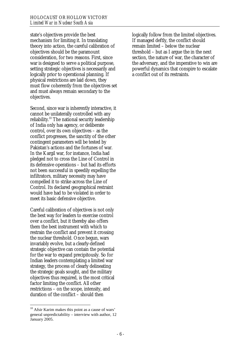state's objectives provide the best mechanism for limiting it. In translating theory into action, the careful calibration of objectives should be the paramount consideration, for two reasons. First, since war is designed to serve a political purpose, setting strategic objectives is necessarily and logically prior to operational planning. If physical restrictions are laid down, they must flow coherently from the objectives set and must always remain secondary to the objectives.

Second, since war is inherently interactive, it cannot be unilaterally controlled with any reliability.10 The national security leadership of India only has agency, or deliberate control, over its own objectives – as the conflict progresses, the sanctity of the other contingent parameters will be tested by Pakistan's actions and the fortunes of war. In the Kargil war, for instance, India had pledged not to cross the Line of Control in its defensive operations – but had its efforts not been successful in speedily expelling the infiltrators, military necessity may have compelled it to strike across the Line of Control. Its declared geographical restraint would have had to be violated in order to meet its basic defensive objective.

Careful calibration of objectives is not only the best way for leaders to exercise control over a conflict, but it thereby also offers them the best instrument with which to restrain the conflict and prevent it crossing the nuclear threshold. Once begun, wars invariably evolve, but a clearly-defined strategic objective can contain the potential for the war to expand precipitously. So for Indian leaders contemplating a limited war strategy, the process of clearly delineating the strategic goals sought, and the military objectives thus required, is the most critical factor limiting the conflict. All other restrictions – on the scope, intensity, and duration of the conflict – should then

 $\overline{a}$ 

logically follow from the limited objectives. If managed deftly, the conflict should remain limited – below the nuclear threshold – but as I argue the in the next section, the nature of war, the character of the adversary, and the imperative to win are powerful dynamics that conspire to escalate a conflict out of its restraints.

 $10$  Afsir Karim makes this point as a cause of wars' general unpredictability – interview with author, 12 January 2005.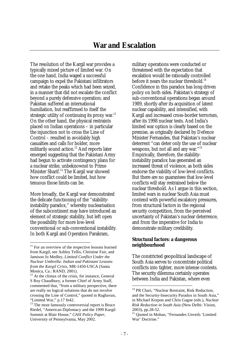The resolution of the Kargil war provides a typically mixed picture of limited war. On the one hand, India waged a successful campaign to expel the Pakistani infiltrators and retake the peaks which had been seized, in a manner that did not escalate the conflict beyond a purely defensive operation; and Pakistan suffered an international humiliation, but reaffirmed to itself the strategic utility of continuing its proxy war.<sup>11</sup> On the other hand, the physical restraints placed on Indian operations – in particular the injunction not to cross the Line of Control – resulted in avoidably high casualties and calls for bolder, more militarily sound action.<sup>12</sup> And reports later emerged suggesting that the Pakistani Army had begun to activate contingency plans for a nuclear strike, unbeknownst to Prime Minister Sharif.13 The Kargil war showed how conflict could be limited, but how tenuous those limits can be.

More broadly, the Kargil war demonstrated the delicate functioning of the "stabilityinstability paradox," whereby nuclearisation of the subcontinent may have introduced an element of strategic stability, but left open the possibility for more low-level conventional or sub-conventional instability. In both Kargil and Operation Parakram,

 $\overline{a}$ 

military operations were conducted or threatened with the expectation that escalation would be rationally controlled before it nears the nuclear threshold.<sup>14</sup> Confidence in this paradox has long driven policy on both sides. Pakistan's strategy of sub-conventional operations began around 1989, shortly after its acquisition of latent nuclear capability, and intensified, with Kargil and increased cross-border terrorism, after its 1998 nuclear tests. And India's limited war option is clearly based on the premise, as originally declared by Defence Minister Fernandes, that Pakistan's nuclear deterrent "can deter only the use of nuclear weapons, but not all and any war."15 Empirically, therefore, the stabilityinstability paradox has generated an increased threat of violence, as both sides endorse the viability of low-level conflicts. But there are no guarantees that low-level conflicts will stay restrained below the nuclear threshold. As I argue in this section, limited wars in nuclear South Asia must contend with powerful escalatory pressures, from structural factors in the regional security competition, from the perceived uncertainty of Pakistan's nuclear deterrence, and from the imperative for India to demonstrate military credibility.

## **Structural factors: a dangerous neighbourhood**

The constricted geopolitical landscape of South Asia serves to concentrate political conflicts into tighter, more intense contests. The security dilemma certainly operates between India and Pakistan, where even

<sup>&</sup>lt;sup>11</sup> For an overview of the respective lessons learned from Kargil, see Ashley Tellis, Christine Fair, and Jamison Jo Medley, *Limited Conflict Under the Nuclear Umbrella: Indian and Pakistani Lessons from the Kargil Crisis*, MR-1450-USCA (Santa Monica, Ca.: RAND, 2001).

 $12$  At the climax of the crisis, for instance, General S Roy Chaudhury, a former Chief of Army Staff, commented that, "from a military perspective, there are really no logical solutions that do not involve crossing the Line of Control," quoted in Raghavan, "Limited War," p.17 fn42.

 $13$ <sup>13</sup> The most famously controversial report is Bruce Riedel, "American Diplomacy and the 1999 Kargil Summit at Blair House," *CASI Policy Paper*, University of Pennsylvania, May 2002.

<sup>&</sup>lt;sup>14</sup> PR Chari, "Nuclear Restraint, Risk Reduction, and the Security-Insecurity Paradox in South Asia," in Michael Krepon and Chris Gagne (eds.), *Nuclear Risk Reduction in South Asia* (New Delhi: Vision, 2003), pp.28-52.

<sup>&</sup>lt;sup>15</sup> Ouoted in Mohan, "Fernandes Unveils 'Limited War' Doctrine."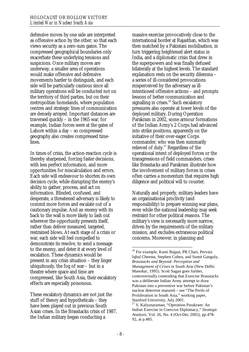defensive moves by one side are interpreted as offensive action by the other, so that each views security as a zero-sum game. The compressed geographical boundaries only exacerbate these underlying tensions and suspicions. Once military moves are underway, a smaller area of operations would make offensive and defensive movements harder to distinguish, and each side will be particularly cautious since all military operations will be conducted not on the territory of third parties, but on their metropolitan homelands, where population centres and strategic lines of communication are densely arrayed. Important distances are traversed quickly – in the 1965 war, for example, Indian forces were at the gates of Lahore within a day – so compressed geography also creates compressed timelines.

In times of crisis, the action-reaction cycle is thereby sharpened, forcing faster decisions, with less perfect information, and more opportunities for miscalculation and errors. Each side will endeavour to shorten its own decision cycle, while disrupting the enemy's ability to gather, process, and act on information. Blinded, confused, and desperate, a threatened adversary is likely to commit more forces and escalate out of a cautionary impulse. And an enemy with its back to the wall is more likely to lash out wherever the opportunity presents itself, rather than deliver measured, targeted, restrained blows. At each stage of a crisis or war, each side will feel compelled to demonstrate its resolve, to send a message to the enemy, and deter it at every level of escalation. These dynamics would be present in any crisis situation – they linger ubiquitously, the fog of war – but in a theatre where space and time are compressed, like South Asia, their escalatory effects are especially poisonous.

These escalatory dynamics are not just the stuff of theory and hypotheticals – they have been played out in previous South Asian crises. In the Brasstacks crisis of 1987, the Indian military began conducting a

massive exercise provocatively close to the international border at Rajasthan, which was then matched by a Pakistani mobilisation, in turn triggering heightened alert status in India, and a diplomatic crisis that drew in the superpowers and was finally defused bilaterally at the highest levels. The standard explanation rests on the security dilemma – a series of ill-considered provocations misperceived by the adversary as illintentioned offensive actions – and prompts lessons of better communication and signalling in crises. $16$  Such escalatory pressures also operate at lower levels of the deployed military. During Operation Parakram in 2002, some armour formations of the Indian Army's 2 Corps had advanced into strike positions, apparently on the initiative of their over-eager Corps commander, who was then summarily relieved of duty.<sup>17</sup> Regardless of the operational intent of deployed forces or the transgressions of field commanders, crises like Brasstacks and Parakram illustrate how the involvement of military forces in crises often carries a momentum that requires high diligence and political will to counter.

Naturally and properly, military leaders have an organisational proclivity (and responsibility) to prepare winning war plans, even while the national leadership may seek restraint for other political reasons. The military's view is necessarily more narrow, driven by the requirements of the military mission, and excludes extraneous political concerns. Moreover, in planning and

<sup>&</sup>lt;sup>16</sup> For example, Kanti Bajpai, PR Chari, Pervaiz Iqbal Cheema, Stephen Cohen, and Sumit Ganguly, *Brasstacks and Beyond: Perception and Management of Crises in South Asia* (New Delhi: Manohar, 1995). Scott Sagan goes further, controversially contending that Exercise Brasstacks was a deliberate Indian Army attempt to draw Pakistan into a preventive war before Pakistan's nuclear deterrent matured – see "The Perils of Proliferation in South Asia," working paper, Stanford University, July 2001.

<sup>17</sup> S. Kalyanaraman, "Operation Parakram: An Indian Exercise in Coercive Diplomacy," *Strategic Analysis*, Vol. 26, No. 4 (Oct-Dec 2002), pp.478- 92, at p.485.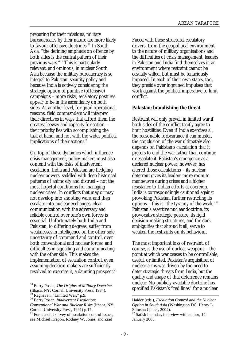preparing for their missions, military bureaucracies by their nature are more likely to favour offensive doctrines.<sup>18</sup> In South Asia, "the defining emphasis on offence by both sides is the central pattern of their previous wars."19 This is particularly relevant, and ominous, in nuclear South Asia because the military bureaucracy is so integral to Pakistani security policy and because India is actively considering the strategic option of punitive (offensive) campaigns – more risky, escalatory postures appear to be in the ascendancy on both sides. At another level, for good operational reasons, field commanders will interpret their directives in ways that afford them the greatest leeway and capacity for action – their priority lies with accomplishing the task at hand, and not with the wider political implications of their actions.<sup>20</sup>

On top of these dynamics which influence crisis management, policy-makers must also contend with the risks of inadvertent escalation. India and Pakistan are fledgling nuclear powers, saddled with deep historical patterns of animosity and distrust – not the most hopeful conditions for managing nuclear crises. In conflicts that may or may not develop into shooting wars, and then escalate into nuclear exchanges, clear communication with the adversary and reliable control over one's own forces is essential. Unfortunately both India and Pakistan, to differing degrees, suffer from weaknesses in intelligence on the other side, uncertainty of command and control, over both conventional and nuclear forces, and difficulties in signalling and communicating with the other side. This makes the implementation of escalation control, even assuming decision-makers are sufficiently resolved to exercise it, a daunting prospect. $21$ 

 $\overline{a}$ 

Faced with these structural escalatory drivers, from the geopolitical environment to the nature of military organisations and the difficulties of crisis management, leaders in Pakistan and India find themselves in an environment where restraint cannot be casually willed, but must be tenaciously imposed. In each of their own states, too, they preside over ingrained impulses that work against the political imperative to limit conflict.

#### **Pakistan: brandishing the threat**

Restraint will only prevail in limited war if both sides of the conflict tacitly agree to limit hostilities. Even if India exercises all the reasonable forbearance it can muster, the conclusion of the war ultimately also depends on Pakistan's calculation that it prefers to end the war rather than continue or escalate it. Pakistan's emergence as a declared nuclear power, however, has altered those calculations – its nuclear deterrent gives its leaders more room to manoeuvre during crises and a higher resistance to Indian efforts at coercion. India is correspondingly cautioned against provoking Pakistan, further restricting its options – this is "the tyranny of the weak."22 Pakistan's assertive nuclear doctrine, its provocative strategic posture, its rigid decision-making structures, and the dark ambiguities that shroud it all, serve to weaken the restraints on its behaviour.

The most important loss of restraint, of course, is the use of nuclear weapons – the point at which war ceases to be controllable, useful, or limited. Pakistan's acquisition of nuclear arms was driven by the need to deter strategic threats from India, but the quality and shape of that deterrence remains unclear. No publicly-available doctrine has specified Pakistan's "red lines" for a nuclear

<sup>18</sup> Barry Posen, *The Origins of Military Doctrine* (Ithaca, NY: Cornell University Press, 1984).

<sup>&</sup>lt;sup>19</sup> Raghavan, "Limited War," p.9.

<sup>20</sup> Barry Posen, *Inadvertent Escalation: Conventional War and Nuclear Risks* (Ithaca, NY: Cornell University Press, 1991) p.17.

 $21$  For a useful survey of escalation control issues, see Michael Krepon, Rodney W. Jones, and Ziad

Haider (eds.), *Escalation Control and the Nuclear Option in South Asia* (Washington DC: Henry L. Stimson Center, 2004).

 $22$  Satish Inamdar, interview with author, 14 January 2005.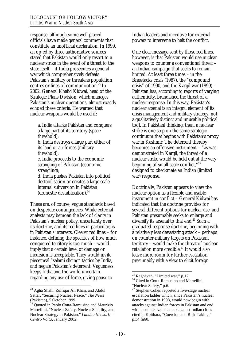response, although some well-placed officials have made general comments that constitute an unofficial declaration. In 1999, an op-ed by three authoritative sources stated that Pakistan would only resort to a nuclear strike in the event of a threat to the state itself – if India prosecutes a general war which comprehensively defeats Pakistan's military or threatens population centres or lines of communication.<sup>23</sup> In 2002, General Khalid Kidwai, head of the Strategic Plans Division, which manages Pakistan's nuclear operations, almost exactly echoed these criteria. He warned that nuclear weapons would be used if:

a. India attacks Pakistan and conquers a large part of its territory (space threshold);

b. India destroys a large part either of its land or air forces (military threshold);

c. India proceeds to the economic strangling of Pakistan (economic strangling);

d. India pushes Pakistan into political destabilisation or creates a large scale internal subversion in Pakistan (domestic destablisation).24

These are, of course, vague standards based on desperate contingencies. While external analysts may bemoan the lack of clarity in Pakistan's nuclear policy, uncertainty over its doctrine, and its red lines in particular, is in Pakistan's interests. Clearer red lines – for instance, defining the specifics of how much conquered territory is too much – would imply that a certain level of damage or incursion is acceptable. They would invite piecemeal "salami slicing" tactics by India, and negate Pakistan's deterrent. Vagueness keeps India and the world uncertain regarding any use of force, giving pause to

 $\overline{a}$ 

Indian leaders and incentive for external powers to intervene to halt the conflict.

One clear message sent by those red lines, however, is that Pakistan would use nuclear weapons to counter a conventional threat – an Indian campaign that seeks to remain limited. At least three times – in the Brasstacks crisis (1987), the "compound crisis" of 1990, and the Kargil war (1999) – Pakistan has, according to reports of varying authenticity, brandished the threat of a nuclear response. In this way, Pakistan's nuclear arsenal is an integral element of its crisis management and military strategy, not a qualitatively distinct and unusable political tool. In Pakistani thinking, then, a nuclear strike is one step on the same strategic continuum that begins with Pakistan's proxy war in Kashmir. The deterrent thereby becomes an offensive instrument – "as was demonstrated in Kargil, the threat of a nuclear strike would be held out at the very beginning of small-scale conflict,"25 – designed to checkmate an Indian (limited war) response.

Doctrinally, Pakistan appears to view the nuclear option as a flexible and usable instrument in conflict – General Kidwai has indicated that the doctrine provides for several different options for nuclear use, and Pakistan presumably seeks to enlarge and diversify its arsenal to that end.<sup>26</sup> Such a graduated response doctrine, beginning with a relatively less devastating attack – perhaps on counter-military targets on Pakistani territory – would make the threat of nuclear retaliation more credible. $27$  It would also leave more room for further escalation, presumably with a view to elicit foreign

<sup>&</sup>lt;sup>23</sup> Agha Shahi, Zulfiqar Ali Khan, and Abdul Sattar, "Securing Nuclear Peace," *The News* (Pakistan), 5 October 1999.

<sup>&</sup>lt;sup>24</sup> Quoted in Paolo Cotta-Ramusino and Maurizio Martellini, "Nuclear Safety, Nuclear Stability, and Nuclear Strategy in Pakistan," *Landau Network – Centro Volta*, January 2002.

<sup>&</sup>lt;sup>25</sup> Raghavan, "Limited war," p.12.

<sup>&</sup>lt;sup>26</sup> Cited in Cotta-Ramusino and Martellini, "Nuclear Safety," p.6.

 $27$  Stephen Cohen reported a five-stage nuclear escalation ladder which, since Pakistan's nuclear demonstration in 1998, would now begin with attacks against Indian forces in Pakistan and end with a counter-value attack against Indian cities – cited in Koithara, "Coercion and Risk-Taking," p.34 fn60.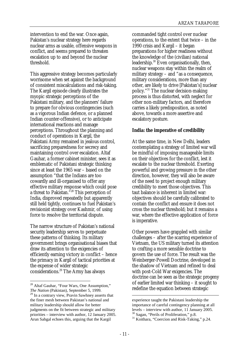intervention to end the war. Once again, Pakistan's nuclear strategy here regards nuclear arms as usable, offensive weapons in conflict, and seems prepared to threaten escalation up to and beyond the nuclear threshold.

This aggressive strategy becomes particularly worrisome when set against the background of consistent miscalculations and risk-taking. The Kargil episode clearly illustrates the myopic strategic perceptions of the Pakistani military, and the planners' failure to prepare for obvious contingencies (such as a vigorous Indian defence, or a planned Indian counter-offensive), or to anticipate international reactions and manage perceptions. Throughout the planning and conduct of operations in Kargil, the Pakistani Army remained in jealous control, sacrificing preparedness for secrecy and maintaining control over escalation. Altaf Gauhar, a former cabinet minister, sees it as emblematic of Pakistani strategic thinking since at least the 1965 war – based on the assumption "that the Indians are too cowardly and ill-organised to offer any effective military response which could pose a threat to Pakistan."28 This perception of India, disproved repeatedly but apparently still held tightly, continues to fuel Pakistan's revisionist strategy over Kashmir, of using force to resolve the territorial dispute.

The narrow structure of Pakistan's national security leadership serves to perpetuate these patterns of thinking. Its military government brings organisational biases that draw its attention to the exigencies of efficiently earning victory in conflict – hence the primacy in Kargil of tactical priorities at the expense of wider strategic considerations.29 The Army has always

 $\overline{a}$ 

commanded tight control over nuclear operations, to the extent that twice – in the 1990 crisis and Kargil – it began preparations for higher readiness without the knowledge of the (civilian) national leadership.<sup>30</sup> Even organisationally, then, nuclear weapons stay within the realm of military strategy – and "as a consequence, military considerations, more than any other, are likely to drive [Pakistan's] nuclear policy."31 The nuclear decision-making process is thus distorted, with neglect for other non-military factors, and therefore carries a likely predisposition, as noted above, towards a more assertive and escalatory posture.

# **India: the imperative of credibility**

At the same time, in New Delhi, leaders contemplating a strategy of limited war will be mindful of imposing manageable limits on their objectives for the conflict, lest it escalate to the nuclear threshold. Exerting powerful and growing pressure in the other direction, however, they will also be aware of the need to project enough military credibility to meet those objectives. This taut balance is inherent in limited war: objectives should be carefully calibrated to contain the conflict and ensure it does not cross the nuclear threshold; but it remains a war, where the effective application of force is imperative.

Other powers have grappled with similar challenges – after the scarring experience of Vietnam, the US military turned its attention to crafting a more sensible doctrine to govern the use of force. The result was the Weinberger-Powell Doctrine, developed in the shadow of Vietnam and refined to deal with post-Cold War exigencies. The doctrine can be seen as the strategic progeny of earlier limited war thinking – it sought to redefine the equation between strategic

<sup>28</sup> Altaf Gauhar, "Four Wars, One Assumption," *The Nation* (Pakistan), September 5, 1999.

<sup>&</sup>lt;sup>29</sup> In a contrary view, Pravin Sawhney asserts that the finer mesh between Pakistan's national and military leadership should allow for better judgments on the fit between strategic and military priorities – interview with author, 12 January 2005. Arun Sahgal echoes this, arguing that the Kargil

experience taught the Pakistani leadership the importance of careful contingency planning at all levels – interview with author, 11 January 2005. <sup>30</sup> Sagan, "Perils of Proliferation," p.8.

<sup>&</sup>lt;sup>31</sup> Koithara, "Coercion and Risk-Taking," p.24.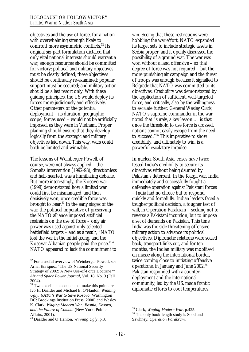objectives and the use of force, for a nation with overwhelming strength likely to confront more asymmetric conflicts.<sup>32</sup> Its original six-part formulation dictated that: only vital national interests should warrant a war; enough resources should be committed for victory; political and military objectives must be clearly defined; these objectives should be continually re-examined; popular support must be secured; and military action should be a last resort only. With these guiding principles, the US would deploy its forces more judiciously and effectively. Other parameters of the potential deployment – its duration, geographic scope, forces used – would not be artificially imposed, as they were in Vietnam. Proper planning should ensure that they develop logically from the strategic and military objectives laid down. This way, wars could both be limited and winnable.

The lessons of Weinberger-Powell, of course, were not always applied – the Somalia intervention (1992-93), directionless and half-hearted, was a humiliating debacle. But more interestingly, the Kosovo war (1999) demonstrated how a limited war could first be mismanaged, and then decisively won, once credible force was brought to bear.33 In the early stages of the war, the political imperative of preserving the NATO alliance imposed artificial restraints on the use of force – only air power was used against only selected battlefield targets – and as a result, "NATO lost the war in the initial going, and the Kosovar Albanian people paid the price."<sup>34</sup> NATO appeared to lack the commitment to

 $\overline{a}$ 

win. Seeing that these restrictions were hobbling the war effort, NATO expanded its target sets to include strategic assets in Serbia proper, and it openly discussed the possibility of a ground war. The war was won without a land offensive – so that degree of force was not required – but the more punishing air campaign and the threat of troops was enough because it signalled to Belgrade that NATO was committed to its objectives. Credibility was demonstrated by the application of sufficient, well-targeted force, and critically, also by the willingness to escalate further. General Wesley Clark, NATO's supreme commander in the war, noted that "surely, a key lesson … is that once the threshold to use force is crossed, nations cannot easily escape from the need to succeed."35 This imperative to show credibility, and ultimately to win, is a powerful escalatory impulse.

In nuclear South Asia, crises have twice tested India's credibility to secure its objectives without being daunted by Pakistan's deterrent. In the Kargil war, India immediately and successfully fought a defensive operation against Pakistani forces – India had no choice but to respond quickly and forcefully. Indian leaders faced a tougher political decision, a tougher test of will, in Operation Parakram – seeking not to reverse a Pakistani incursion, but to impose a set of demands on Pakistan. This time India was the side threatening offensive military action to advance its political objectives. Diplomatic relations were scaled back, transport links cut, and for ten months, the Indian military was mobilised en masse along the international border, twice coming close to initiating offensive operations, in January and June 2002.36 Pakistan responded with a counterdeployment and the international community, led by the US, made frantic diplomatic efforts to cool temperatures.

 $32$  For a useful overview of Weinberger-Powell, see Arnel Enriquez, "The US National Security Strategy of 2002: A New Use-of-Force Doctrine?" *Air and Space Power Journal*, Vol. 18, No. 3 (Fall 2004).

<sup>&</sup>lt;sup>33</sup> Two excellent accounts that make this point are Ivo H. Daalder and Michael E. O'Hanlon, *Winning Ugly: NATO's War to Save Kosovo* (Washington DC: Brookings Institution Press, 2000) and Wesley K. Clark, *Waging Modern War: Bosnia, Kosovo, and the Future of Combat* (New York: Public Affairs, 2001).

<sup>34</sup> Daalder and O'Hanlon, *Winning Ugly*, p.3.

<sup>&</sup>lt;sup>35</sup> Clark, Waging Modern War, p.425.

<sup>&</sup>lt;sup>36</sup> The only book-length study is Sood and Sawhney, *Operation Parakram*.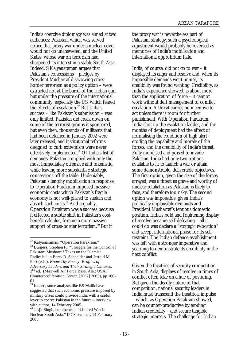India's coercive diplomacy was aimed at two audiences: Pakistan, which was served notice that proxy war under a nuclear cover would not go unanswered; and the United States, whose war on terrorism had sharpened its interest in a stable South Asia. Indeed, S Kalyanaraman argues that Pakistan's concessions – pledges by President Musharraf disavowing crossborder terrorism as a policy option – were extracted not at the barrel of the Indian gun, but under the pressure of the international community, especially the US, which feared the effects of escalation.<sup>37</sup> But India's success – like Pakistan's submission – was only limited. Pakistan did crack down on some of the terrorist groups it sponsored, but even then, thousands of militants that had been detained in January 2002 were later released, and institutional reforms designed to curb extremism were never effectively implemented.38 Of India's list of demands, Pakistan complied with only the most immediately offensive and tokenistic, while leaving more substantive strategic concessions off the table. Undeniably, Pakistan's lengthy mobilisation in response to Operation Parakram imposed massive economic costs which Pakistan's fragile economy is not well-placed to sustain and absorb such costs.39 And arguably, Operation Parakram was a success because it effected a subtle shift in Pakistan's costbenefit calculus, forcing a more passive support of cross-border terrorism.<sup>40</sup> But if

 $\overline{a}$ 

the proxy war is nevertheless part of Pakistani strategy, such a psychological adjustment would probably be reversed as memories of India's mobilisation and international opprobrium fade.

India, of course, did not go to war – it displayed its anger and resolve and, when its impossible demands went unmet, its credibility was found wanting. Credibility, as India's experience showed, is about more than the application of force – it cannot work without deft management of conflict escalation. A threat carries no incentive to act unless there is room for further punishment. With Operation Parakram, India shot up the escalation ladder, and the months of deployment had the effect of normalising the condition of high alert – eroding the capability and morale of the forces, and the credibility of India's threat. Fully mobilised and poised to invade Pakistan, India had only two options available to it: to launch a war or attain some demonstrable, deliverable objectives. The first option, given the size of the forces arrayed, was a threat as grave and worthy of nuclear retaliation as Pakistan is likely to face, and therefore too risky. The second option was impossible, given India's politically implausible demands and President Musharraf's tenuous domestic position. India's bold and frightening display of resolve became self-defeating – all it could do was declare a "strategic relocation" and accept international praise for its selfrestraint. The Indian defence establishment was left with a stronger imperative and yearning to demonstrate its credibility in the next conflict.

Given the theatrics of security competition in South Asia, displays of resolve in times of conflict often take on a hue of posturing. But given the deadly nature of that competition, national security leaders in India must transcend the theatrical impulse – which, as Operation Parakram showed, can be counter-productive by eroding Indian credibility – and secure tangible strategic interests. The challenge for Indian

<sup>&</sup>lt;sup>37</sup> Kalyanaraman, "Operation Parakram." 38 Burgess, Stephen F., "Struggle for the Control of Pakistan: Musharraf Takes on the Islamist Radicals," in Barry R. Schneider and Jerrold M. Post (eds.), *Know Thy Enemy: Profiles of Adversary Leaders and Their Strategic Cultures,*  2<sup>nd</sup> ed. (Maxwell Air Force Base, Ala.: USAF Counterproliferation Center, [2002] 2003), pp.100- 01.

<sup>&</sup>lt;sup>39</sup> Indeed, some analysts like BS Malik have suggested that such economic pressure imposed by military crises could provide India with a useful lever to coerce Pakistan in the future – interview with author, 14 February 2005.

<sup>40</sup> Jasjit Singh, comments at "Limited War in Nuclear South Asia," IPCS seminar, 14 February 2005.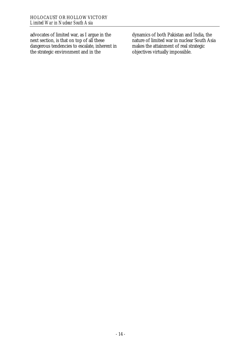advocates of limited war, as I argue in the next section, is that on top of all these dangerous tendencies to escalate, inherent in the strategic environment and in the

dynamics of both Pakistan and India, the nature of limited war in nuclear South Asia makes the attainment of real strategic objectives virtually impossible.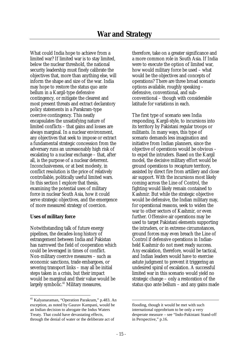What could India hope to achieve from a limited war? If limited war is to stay limited, below the nuclear threshold, the national security leadership must finely calibrate the objectives that, more than anything else, will inform the shape and size of the war. India may hope to restore the status quo ante bellum in a Kargil-type defensive contingency, or mitigate the clearest and most present threats and extract declaratory policy statements in a Parakram-type coercive contingency. This neatly encapsulates the unsatisfying nature of limited conflicts – that gains and losses are always marginal. In a nuclear environment, any objectives that seek to impose or extract a fundamental strategic concession from the adversary runs an unreasonably high risk of escalating to a nuclear exchange – that, after all, is the purpose of a nuclear deterrent. Inconclusiveness, or at best modesty, in conflict resolution is the price of relatively controllable, politically useful limited wars. In this section I explore that thesis, examining the potential uses of military force in nuclear South Asia, how it could serve strategic objectives, and the emergence of more measured strategy of coercion.

#### **Uses of military force**

Notwithstanding talk of future energy pipelines, the decades-long history of estrangement between India and Pakistan has narrowed the field of cooperation which could be leveraged in times of conflict. Non-military coercive measures – such as economic sanctions, trade embargoes, or severing transport links – may all be initial steps taken in a crisis, but their impact would be marginal and their value would be largely symbolic.<sup>41</sup> Military measures,

therefore, take on a greater significance and a more common role in South Asia. If India were to execute the option of limited war, how would military force be used – what would be the objectives and concepts of operations? There are three broad scenario options available, roughly speaking – defensive, conventional, and subconventional – though with considerable latitude for variations in each.

The first type of scenario sees India responding, Kargil-style, to incursions into its territory by Pakistani regular troops or militants. In many ways, this type of scenario demands less imagination and initiative from Indian planners, since the objective of operations would be obvious – to expel the intruders. Based on the Kargil model, the decisive military effort would be ground operations to recapture territory, assisted by direct fire from artillery and close air support. With the incursions most likely coming across the Line of Control, the fighting would likely remain contained to Kashmir. But while the strategic objective would be defensive, the Indian military may, for operational reasons, seek to widen the war to other sectors of Kashmir, or even further. Offensive air operations may be used to target Pakistani elements supporting the intruders, or in extreme circumstances, ground forces may even breach the Line of Control if defensive operations in Indianheld Kashmir do not meet ready success. Any escalation, therefore, would be tactical, and Indian leaders would have to exercise astute judgment to prevent it triggering an undesired spiral of escalation. A successful limited war in this scenario would yield no strategic change – only a restoration of the status quo ante bellum – and any gains made

<sup>41</sup> Kalyanaraman, "Operation Parakram," p.483. An exception, as noted by Gaurav Kampani, would be an Indian decision to abrogate the Indus Waters Treaty. That could have devastating effects, through the denial of water or the deliberate act of

flooding, though it would be met with such international opprobrium to be only a very desperate measure – see "Indo-Pakistani Stand-off in Perspective," p.16.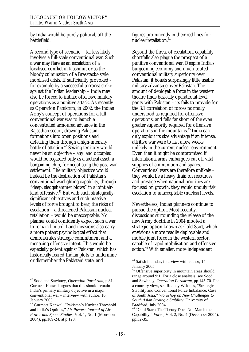by India would be purely political, off the battlefield.

A second type of scenario – far less likely – involves a full-scale conventional war. Such a war may flare as an escalation of a localised conflict in Kashmir, or as the bloody culmination of a Brasstacks-style mobilised crisis. If sufficiently provoked – for example by a successful terrorist strike against the Indian leadership – India may also be forced to initiate offensive military operations as a punitive attack. As recently as Operation Parakram, in 2002, the Indian Army's concept of operations for a full conventional war was to launch a concentrated armoured advance in the Rajasthan sector, drawing Pakistani formations into open positions and defeating them through a high-intensity battle of attrition.<sup>42</sup> Seizing territory would never be an objective – any land occupied would be regarded only as a tactical asset, a bargaining chip, for negotiating the post-war settlement. The military objective would instead be the destruction of Pakistan's conventional warfighting capability, through "deep, sledgehammer blows" in a joint airland offensive.<sup>43</sup> But with such strategicallysignificant objectives and such massive levels of force brought to bear, the risks of escalation – a threatened Pakistani nuclear retaliation – would be unacceptable. No planner could confidently expect such a war to remain limited. Land invasions also carry a more potent psychological effect that demonstrates strategic commitment and a menacing offensive intent. This would be especially potent against Pakistan, which has historically feared Indian plots to undermine or dismember the Pakistani state, and

 $\overline{a}$ 

figures prominently in their red lines for nuclear retaliation.<sup>44</sup>

Beyond the threat of escalation, capability shortfalls also plague the prospect of a punitive conventional war. Despite India's burgeoning economy and much-touted conventional military superiority over Pakistan, it boasts surprisingly little usable military advantage over Pakistan. The amount of deployable force in the western theatre finds basically operational-level parity with Pakistan – its fails to provide for the 3:1 correlation of forces normally understood as required for offensive operations, and falls far short of the even greater superiority required for offensive operations in the mountains.45 India can only exploit its size advantage if an intense, attritive war were to last a few weeks, unlikely in the current nuclear environment. Even then it might be compromised if international arms embargoes cut off vital supplies of ammunition and spares. Conventional wars are therefore unlikely – they would be a heavy drain on resources and prestige when national priorities are focused on growth, they would unduly risk escalation to unacceptable (nuclear) levels.

Nevertheless, Indian planners continue to pursue the option. Most recently, discussions surrounding the release of the new Army doctrine in 2004 mooted a strategic option known as Cold Start, which envisions a more readily deployable and mobile joint force in the western sector, capable of rapid mobilisation and offensive action.<sup>46</sup> With smaller, more independent

<sup>42</sup> Sood and Sawhney, *Operation Parakram*, p.81. Gurmeet Kanwal argues that this should remain India's primary military objective in a major conventional war – interview with author, 10 January 2005.

<sup>43</sup> Gurmeet Kanwal, "Pakistan's Nuclear Threshold and India's Options," *Air Power: Journal of Air Power and Space Studies*, Vol. 1, No. 1 (Monsoon 2004), pp.109-24, at p.123.

<sup>44</sup> Satish Inamdar, interview with author, 14 January 2005.

<sup>&</sup>lt;sup>45</sup> Offensive superiority in mountain areas should range around 9:1. For a close analysis, see Sood and Sawhney, *Operation Parakram*, pp.145-70. For a contrary view, see Rodney W Jones, "Strategic Stability and Conventional Force Imbalance: Case of South Asia," *Workshop on New Challenges to South Asian Strategic Stability*, University of Bradford, July 2004.

<sup>46 &</sup>quot;Cold Start: The Theory Does Not Match the Capability," *Force*, Vol. 2, No. 4 (December 2004), pp.32-35.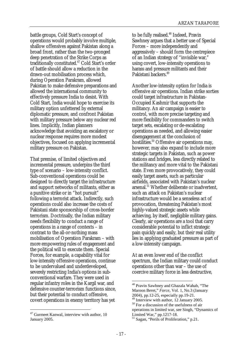battle groups, Cold Start's concept of operations would probably involve multiple, shallow offensives against Pakistan along a broad front, rather than the two-pronged deep penetration of the Strike Corps as traditionally constituted.47 Cold Start's order of battle should allow a reduction in the drawn-out mobilisation process which, during Operation Parakram, allowed Pakistan to make defensive preparations and allowed the international community to effectively pressure India to desist. With Cold Start, India would hope to exercise its military option unfettered by external diplomatic pressure, and confront Pakistan with military pressure below any nuclear red lines. Implicitly, Indian planners acknowledge that avoiding an escalatory or nuclear response requires more modest objectives, focused on applying incremental military pressure on Pakistan.

That premise, of limited objectives and incremental pressure, underpins the third type of scenario – low-intensity conflict. Sub-conventional operations could be designed to directly target the infrastructure and support networks of militants, either as a punitive strike or in "hot pursuit" following a terrorist attack. Indirectly, such operations could also increase the costs of Pakistani state sponsorship of cross-border terrorism. Doctrinally, the Indian military needs flexibility to conduct a range of operations in a range of contexts – in contrast to the all-or-nothing mass mobilisation of Operation Parakram – with more empowering rules of engagement and the political will to execute them. Special Forces, for example, a capability vital for low-intensity offensive operations, continue to be undervalued and underdeveloped, severely restricting India's options in subconventional warfare. They were used in regular infantry roles in the Kargil war, and defensive counter-terrorism functions since, but their potential to conduct offensive, covert operations in enemy territory has yet

 $\overline{a}$ 

to be fully realised.<sup>48</sup> Indeed, Pravin Sawhney argues that a better use of Special Forces – more independently and aggressively – should form the centrepiece of an Indian strategy of "invisible war," using covert, low-intensity operations to harass and pressure militants and their Pakistani backers.<sup>49</sup>

Another low-intensity option for India is offensive air operations. Indian strike sorties could target infrastructure in Pakistan-Occupied Kashmir that supports the militancy. An air campaign is easier to control, with more precise targeting and more flexibility for commanders to switch target sets, escalating or de-escalating operations as needed, and allowing easier disengagement at the conclusion of hostilities.<sup>50</sup> Offensive air operations may, however, may also expand to include more strategic targets in Pakistan, such as power stations and bridges, less directly related to the militancy and more vital to the Pakistani state. Even more provocatively, they could easily target assets, such as particular airfields, associated with Pakistan's nuclear arsenal.<sup>51</sup> Whether deliberate or inadvertent, such an attack on Pakistan's nuclear infrastructure would be a senseless act of provocation, threatening Pakistan's most highly-valued strategic assets while achieving, by itself, negligible military gains. Clearly, air operations are a tool that carry considerable potential to inflict strategic pain quickly and easily, but their real utility lies in applying graduated pressure as part of a low-intensity campaign.

At an even lower end of the conflict spectrum, the Indian military could conduct operations other than war – the use of coercive military force in less destructive,

<sup>47</sup> Gurmeet Kanwal, interview with author, 10 January 2005.

<sup>48</sup> Pravin Sawhney and Ghazala Wahab, "The Maroon Beret," *Force*, Vol. 1, No.3 (January 2004), pp.12-25, especially pp.19-21.

<sup>49</sup> Interview with author, 12 January 2005.

<sup>50</sup> For a discussion of the usefulness of air operations in limited war, see Singh, "Dynamics of

Limited War," pp.1217-18.

<sup>&</sup>lt;sup>51</sup> Sagan, "Perils of Proliferation," p.21.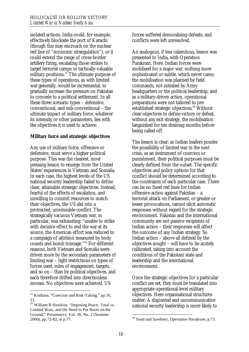isolated actions. India could, for example, effectively blockade the port of Karachi (though this may encroach on the nuclear red line of "economic strangulation"), or it could extend the range of cross-border artillery firing, escalating those strikes to target terrorist camps or tactically-valuable military positions.<sup>52</sup> The ultimate purpose of these types of operations, as with limited war generally, would be incremental, to gradually increase the pressure on Pakistan to concede to a political settlement. In all these three scenario types – defensive, conventional, and sub-conventional – the ultimate impact of military force, whatever its intensity or other parameters, lies with the objectives it is used to achieve.

#### **Military force and strategic objectives**

Any use of military force, offensive or defensive, must serve a higher political purpose. This was the clearest, most pressing lesson to emerge from the United States' experiences in Vietnam and Somalia. In each case, the highest levels of the US national security leadership failed to define clear, attainable strategic objectives. Instead, fearful of the effects of escalation, and unwilling to commit resources to match their objectives, the US slid into a protracted, unwinnable conflict. The strategically vacuous Vietnam war, in particular, was exhausting: "unable to strike with decisive effect to end the war at its source, the American effort was reduced to a campaign of attrition measured by body counts and bomb tonnage."53 For different reasons, both Vietnam and Somalia were driven more by the secondary parameters of limiting war – tight restrictions on types of forces used, rules of engagement, targets, and so on – than by political objectives, and each therefore drifted into directionless morass. No objectives were achieved, US

 $\overline{a}$ 

forces suffered demoralising defeats, and conflicts were left unresolved.

An analogous, if less calamitous, lesson was presented to India, with Operation Parakram. Here, Indian forces were mobilised for a major war, nothing more sophisticated or subtle, which never came; the mobilisation was planned by field commands, not initiated by Army headquarters or the political leadership; and as a military-driven action, operational preparations were not tailored to preestablished strategic objectives.<sup>54</sup> Without clear objectives to define victory or defeat, without any exit strategy, the mobilisation languished for ten draining months before being called off.

The lesson is clear: as Indian leaders ponder the possibility of limited war in the next crisis, as an instrument of coercion or punishment, their political purposes must be clearly defined from the outset. The specific objectives and policy options for that conflict should be determined according to the constraints of each particular case. There can be no fixed red lines for Indian offensive action against Pakistan – a terrorist attack on Parliament, or greater or lesser provocations, cannot elicit automatic responses without regard for the strategic environment. Pakistan and the international community are not passive recipients of Indian action – their responses will affect the outcome of any Indian strategy. So Indian action – above all defined by the objectives sought – will have to be acutely calibrated, taking into account the conditions of the Pakistani state and leadership and the international environment.

Once the strategic objectives for a particular conflict are set, they must be translated into appropriate operational-level military objectives. Here organisational structures matter. A disjointed and uncommunicative national security leadership is more likely to

 $52$  Koithara, "Coercion and Risk-Taking," pp.10, 23.

<sup>&</sup>lt;sup>53</sup> William R Hawkins, "Imposing Peace: Total vs. Limited Wars, and the Need to Put Boots on the Ground," *Parameters*, Vol. 30, No. 2 (Summer 2000), pp.72-82, at p.77.

<sup>54</sup> Sood and Sawhney, *Operation Parakram*, p.73.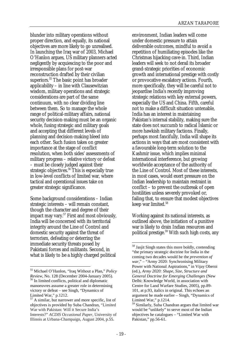blunder into military operations without proper direction, and equally, its national objectives are more likely to go unrealised. In launching the Iraq war of 2003, Michael O'Hanlon argues, US military planners acted negligently by acquiescing to the poor and irresponsible plans for post-war reconstruction drafted by their civilian superiors.<sup>55</sup> The basic point has broader applicability – in line with Clausewitzian wisdom, military operations and strategic considerations are part of the same continuum, with no clear dividing line between them. So to manage the whole range of political-military affairs, national security decision-making must be an organic whole, fusing strategic and military goals and accepting that different levels of planning and decision-making bleed into each other. Such fusion takes on greater importance at the stage of conflict resolution, when both sides' assessments of military progress – relative victory or defeat – must be closely judged against their strategic objectives.<sup>56</sup> This is especially true in low-level conflicts of limited war, where tactical and operational issues take on greater strategic significance.

Some background considerations – Indian strategic interests – will remain constant, though the character and degree of their impact may vary.<sup>57</sup> First and most obviously, India will be concerned with its territorial integrity around the Line of Control and domestic security against the threat of terrorism, defeating or deterring the immediate security threats posed by Pakistani forces and militants. Second, in what is likely to be a highly charged political

 $\overline{a}$ 

environment, Indian leaders will come under domestic pressure to attain deliverable outcomes, mindful to avoid a repetition of humiliating episodes like the Christmas hijacking cave-in. Third, Indian leaders will seek to not derail its broader grand-strategic priorities of economic growth and international prestige with costly or provocative escalatory actions. Fourth, more specifically, they will be careful not to jeopardise India's recently improving strategic relations with key external powers, especially the US and China. Fifth, careful not to make a difficult situation untenable, India has an interest in maintaining Pakistan's internal stability, making sure the state does not succumb to radical Islamic or more hawkish military factions. Finally, perhaps most fancifully, India will shape its actions in ways that are most consistent with a favourable long-term solution to the Kashmir issue, which implies minimal international interference, but growing worldwide acceptance of the authority of the Line of Control. Most of these interests, in most cases, would exert pressure on the Indian leadership to maintain restraint in conflict – to prevent the outbreak of open hostilities unless severely provoked or, failing that, to ensure that modest objectives keep war limited.<sup>58</sup>

Working against its national interests, as outlined above, the initiation of a punitive war is likely to drain Indian resources and political prestige. $59$  With such high costs, any

<sup>55</sup> Michael O'Hanlon, "Iraq Without a Plan," *Policy Review*, No. 128 (December 2004-January 2005).<sup>56</sup> In limited conflicts, political and diplomatic manoeuvres assume a greater role in determining victory or defeat – see Singh, "Dynamics of Limited War," p.1212.

<sup>57</sup> A similar, but narrower and more specific, list of objectives is provided by Suba Chandran, "Limited War with Pakistan: Will it Secure India's Interests?" *ACDIS Occasional Paper*, University of Illinois at Urbana-Champaign, August 2004, p.55.

<sup>&</sup>lt;sup>58</sup> Jasjit Singh states this more boldly, contending "the primary strategic doctrine for India in the coming two decades would be the *prevention of war*," – "Army 2020: Synchronising Military Power with National Aspirations," in Vijay Oberoi (ed.), *Army 2020: Shape, Size, Structure and General Doctrine for Emerging Challenges* (New Delhi: Knowledge World, in association with Centre for Land Warfare Studies, 2005), pp.89- 101, at p.93, italics in original. This echoes an argument he made earlier – Singh, "Dynamics of Limited War," p.1214.

<sup>59</sup> Similarly, Suba Chandran argues that limited war would be "unlikely" to serve most of the Indian objectives he catalogues – "Limited War with Pakistan," pp.56-61.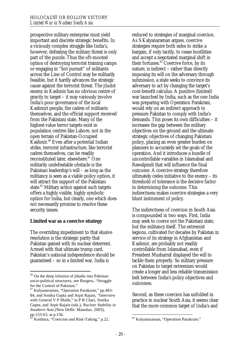prospective military enterprise must yield important and discrete strategic benefits. In a viciously complex struggle like India's, however, defeating the military threat is only part of the puzzle. Thus the oft-mooted option of destroying terrorist training camps or engaging in "hot pursuit" of militants across the Line of Control may be militarily feasible, but it hardly advances the strategic cause against the terrorist threat. The *jihadist* enemy in Kashmir has no obvious centre of gravity to target – it may variously involve India's poor governance of the local Kashmiri people, the cadres of militants themselves, and the official support received from the Pakistani state. Many of the highest-value terror targets exist in population centres like Lahore, not in the open terrain of Pakistan-Occupied Kashmir.60 Even after a potential Indian strike, terrorist infrastructure, like terrorist cadres themselves, can be readily reconstituted later, elsewhere.<sup>61</sup> One militarily undefeatable obstacle is the Pakistani leadership's will – as long as the militancy is seen as a viable policy option, it will attract the support of the Pakistani state.<sup>62</sup> Military action against such targets offers a highly visible, highly symbolic option for India, but clearly, one which does not necessarily promise to resolve these security issues.

#### **Limited war as a coercive strategy**

The overriding impediment to that elusive resolution is the strategic parity that Pakistan gained with its nuclear deterrent. Armed with that ultimate trump card, Pakistan's national independence should be guaranteed – so in a limited war, India is

 $\overline{a}$ 

reduced to strategies of marginal coercion. As S Kalyanaraman argues, coercive strategies require both sides to strike a bargain, if only tacitly, to cease hostilities and accept a negotiated marginal shift in their fortunes.<sup>63</sup> Coercive force, by its nature, is indirect – rather than directly imposing its will on the adversary through submission, a state seeks to convince its adversary to act by changing the target's cost-benefit calculus. A punitive (limited) war launched by India, such as the one India was preparing with Operation Parakram, would rely on an indirect approach to pressure Pakistan to comply with India's demands. This poses its own difficulties – it increases the gap between the military objectives on the ground and the ultimate strategic objectives of changing Pakistani policy, placing an even greater burden on planners to accurately set the goals of the operation. And it introduces a bundle of uncontrollable variables in Islamabad and Rawalpindi that will influence the final outcome. A coercive strategy therefore ultimately cedes initiative to the enemy – its threshold of tolerance is the decisive factor in determining the outcome. This indirectness makes coercive strategies a very blunt instrument of policy.

The indirectness of coercion in South Asia is compounded in two ways. First, India may seek to coerce not the Pakistani state, but the militancy itself. The extremist legions, cultivated for decades by Pakistan in service of its strategy in Afghanistan and Kashmir, are probably not readily controllable from Islamabad, even if President Musharraf displayed the will to tackle them properly. So military pressure on Pakistan to target extremism would create a longer and less reliable transmission belt between India's policy objectives and outcomes.

Second, as these coercion has unfolded in practice in nuclear South Asia, it seems clear that the more common target of India's and

 $60$  On the deep infusion of jihadis into Pakistan socio-political structures, see Burgess, "Struggle for the Control of Pakistan."

<sup>61</sup> Kalyanaraman, "Operation Parakram," pp.483- 84, and Sonika Gupta and Arpit Rajain, "Interview with General V P Malik," in P R Chari, Sonika Gupta, and Arpit Rajain (eds.), *Nuclear Stability in Southern Asia* (New Delhi: Manohar, 2003), pp.153-63, at p.156.

Koithara, "Coercion and Risk-Taking," p.22.

 $\overline{a}$ 63 Kalyanaraman, "Operation Parakram."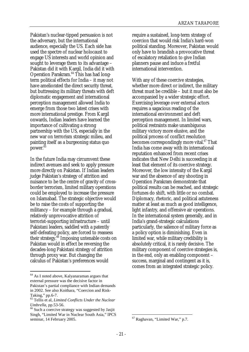Pakistan's nuclear-tipped persuasion is not the adversary, but the international audience, especially the US. Each side has used the spectre of nuclear holocaust to engage US interests and world opinion and sought to leverage them to its advantage – Pakistan did it with Kargil, India did it with Operation Parakram.<sup>64</sup> This has had longterm political effects for India – it may not have ameliorated the direct security threat, but buttressing its military threats with deft diplomatic engagement and international perception management allowed India to emerge from those two latest crises with more international prestige. From Kargil onwards, Indian leaders have learned the importance of cultivating a strong partnership with the US, especially in the new war on terrorism strategic milieu, and painting itself as a burgeoning status quo power.<sup>65</sup>

In the future India may circumvent these indirect avenues and seek to apply pressure more directly on Pakistan. If Indian leaders judge Pakistan's strategy of attrition and nuisance to be the centre of gravity of crossborder terrorism, limited military operations could be employed to increase the pressure on Islamabad. The strategic objective would be to raise the costs of supporting the militancy – for example through a gradual, relatively unprovocative attrition of terrorist-supporting infrastructure – until Pakistani leaders, saddled with a patently self-defeating policy, are forced to reassess their strategy.<sup>66</sup> Imposing untenable costs on Pakistan would in effect be reversing the decades-long Pakistani strategy of attrition through proxy war. But changing the calculus of Pakistan's preferences would

 $\overline{a}$ 

require a sustained, long-term strategy of coercion that would risk India's hard-won political standing. Moreover, Pakistan would only have to brandish a provocative threat of escalatory retaliation to give Indian planners pause and induce a fretful international intervention.

With any of these coercive strategies, whether more direct or indirect, the military threat must be credible – but it must also be accompanied by a wider strategic effort. Exercising leverage over external actors requires a sagacious reading of the international environment and deft perception management. In limited wars, political restraints make unambiguous military victory more elusive, and the political process of conflict resolution becomes correspondingly more vital.<sup>67</sup> That India has come away with its international reputation enhanced from recent crises indicates that New Delhi is succeeding in at least that element of its coercive strategy. Moreover, the low intensity of the Kargil war and the absence of any shooting in Operation Parakram demonstrate that political results can be reached, and strategic fortunes do shift, with little or no combat. Diplomacy, rhetoric, and political astuteness matter at least as much as good intelligence, light infantry, and offensive air operations. In the international system generally, and in India's grand-strategic calculations particularly, the salience of military force as a policy option is diminishing. Even in limited war, while military credibility is absolutely critical, it is rarely decisive. The military component of coercive strategies is, in the end, only an enabling component – success, marginal and contingent as it is, comes from an integrated strategic policy.

<sup>64</sup> As I noted above, Kalyanaraman argues that external pressure was the decisive factor in Pakistan's partial compliance with Indian demands in 2002. See also Koithara, "Coercion and Risk-Taking," pp.6-7.

<sup>65</sup> Tellis et al, *Limited Conflicts Under the Nuclear Umbrella*, pp.53-56.<br><sup>66</sup> Such a coercive strategy was suggested by Jasjit

Singh, "Limited War in Nuclear South Asia," IPCS seminar, 14 February 2005.

 $\overline{a}$ 67 Raghavan, "Limited War," p.7.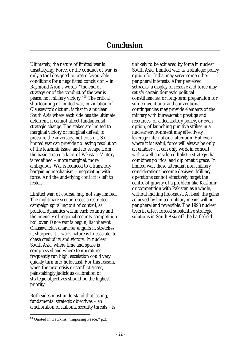Ultimately, the nature of limited war is unsatisfying. Force, or the conduct of war, is only a tool designed to create favourable conditions for a negotiated conclusion – in Raymond Aron's words, "the end of strategy or of the conduct of the war is peace, not military victory."68 The critical shortcoming of limited war, in violation of Clausewitz's dictum, is that in a nuclear South Asia where each side has the ultimate deterrent, it cannot affect fundamental strategic change. The stakes are limited to marginal victory or marginal defeat, to pressure the adversary, not crush it. So limited war can provide no lasting resolution of the Kashmir issue, and no escape from the basic strategic knot of Pakistan. Victory is redefined – more marginal, more ambiguous. War is reduced to a transitory bargaining mechanism – negotiating with force. And the underlying conflict is left to fester.

Limited war, of course, may not stay limited. The nightmare scenario sees a restricted campaign spiralling out of control, as political dynamics within each country and the intensity of regional security competition boil over. Once war is begun, its inherent Clausewitzian character engulfs it, stretches it, sharpens it – war's nature is to escalate, to chase credibility and victory. In nuclear South Asia, where time and space is compressed and where temperatures frequently run high, escalation could very quickly turn into holocaust. For this reason, when the next crisis or conflict arises, painstakingly judicious calibration of strategic objectives should be the highest priority.

Both sides must understand that lasting, fundamental strategic objectives – an amelioration of national security threats – is

 $\overline{a}$ 

unlikely to be achieved by force in nuclear South Asia. Limited war, as a strategic policy option for India, may serve some other peripheral interests. After perceived setbacks, a display of resolve and force may satisfy certain domestic political constituencies; or long-term preparation for sub-conventional and conventional contingencies may provide elements of the military with bureaucratic prestige and resources; or a declaratory policy, or even option, of launching punitive strikes in a nuclear environment may effectively leverage international attention. But even where it is useful, force will always be only an enabler – it can only work in concert with a well-considered holistic strategy that combines political and diplomatic grace. In limited war, these attendant non-military considerations become decisive. Military operations cannot effectively target the centre of gravity of a problem like Kashmir, or competition with Pakistan as a whole, without inciting holocaust. At best, the gains achieved by limited military means will be peripheral and reversible. The 1998 nuclear tests in effect forced substantive strategic solutions in South Asia off the battlefield.

<sup>68</sup> Quoted in Hawkins, "Imposing Peace," p.3.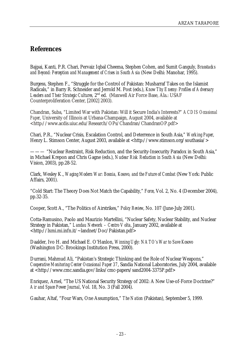# **References**

Bajpai, Kanti, P.R. Chari, Pervaiz Iqbal Cheema, Stephen Cohen, and Sumit Ganguly, *Brasstacks and Beyond: Perception and Management of Crises in South Asia* (New Delhi: Manohar, 1995).

Burgess, Stephen F., "Struggle for the Control of Pakistan: Musharraf Takes on the Islamist Radicals," in Barry R. Schneider and Jerrold M. Post (eds.), *Know Thy Enemy: Profiles of Adversary Leaders and Their Strategic Cultures,* 2nd ed. (Maxwell Air Force Base, Ala.: USAF Counterproliferation Center, [2002] 2003).

Chandran, Suba, "Limited War with Pakistan: Will it Secure India's Interests?" *ACDIS Occasional Paper*, University of Illinois at Urbana-Champaign, August 2004, available at <http://www.acdis.uiuc.edu/Research/OPs/Chandran/ChandranOP.pdf>

Chari, P.R., "Nuclear Crisis, Escalation Control, and Deterrence in South Asia," *Working Paper*, Henry L. Stimson Center, August 2003, available at <http://www.stimson.org/southasia/>

——— "Nuclear Restraint, Risk Reduction, and the Security-Insecurity Paradox in South Asia," in Michael Krepon and Chris Gagne (eds.), *Nuclear Risk Reduction in South Asia* (New Delhi: Vision, 2003), pp.28-52.

Clark, Wesley K., *Waging Modern War: Bosnia, Kosovo, and the Future of Combat* (New York: Public Affairs, 2001).

"Cold Start: The Theory Does Not Match the Capability," *Force*, Vol. 2, No. 4 (December 2004), pp.32-35.

Cooper, Scott A., "The Politics of Airstrikes," *Policy Review*, No. 107 (June-July 2001).

Cotta-Ramusino, Paolo and Maurizio Martellini, "Nuclear Safety, Nuclear Stability, and Nuclear Strategy in Pakistan," *Landau Network – Centro Volta*, January 2002, available at <http://lxmi.mi.infn.it/~landnet/Doc/Pakistan.pdf>

Daalder, Ivo H. and Michael E. O'Hanlon, *Winning Ugly: NATO's War to Save Kosovo* (Washington DC: Brookings Institution Press, 2000).

Durrani, Mahmud Ali, "Pakistan's Strategic Thinking and the Role of Nuclear Weapons," *Cooperative Monitoring Center Occasional Paper 37*, Sandia National Laboratories, July 2004, available at <http://www.cmc.sandia.gov/links/cmc-papers/sand2004-3375P.pdf>

Enriquez, Arnel, "The US National Security Strategy of 2002: A New Use-of-Force Doctrine?" *Air and Space Power Journal*, Vol. 18, No. 3 (Fall 2004).

Gauhar, Altaf, "Four Wars, One Assumption," *The Nation* (Pakistan), September 5, 1999.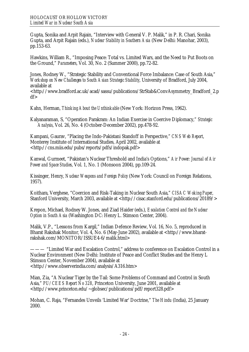Gupta, Sonika and Arpit Rajain, "Interview with General V. P. Malik," in P. R. Chari, Sonika Gupta, and Arpit Rajain (eds.), *Nuclear Stability in Southern Asia* (New Delhi: Manohar, 2003), pp.153-63.

Hawkins, William R., "Imposing Peace: Total vs. Limited Wars, and the Need to Put Boots on the Ground," *Parameters*, Vol. 30, No. 2 (Summer 2000), pp.72-82.

Jones, Rodney W., "Strategic Stability and Conventional Force Imbalance: Case of South Asia," *Workshop on New Challenges to South Asian Strategic Stability*, University of Bradford, July 2004, available at

<http://www.bradford.ac.uk/acad/sassu/publications/StrStab&ConvAsymmetry\_Bradford\_2.p  $df$ 

Kahn, Herman, *Thinking About the Unthinkable* (New York: Horizon Press, 1962).

Kalyanaraman, S, "Operation Parakram: An Indian Exercise in Coercive Diplomacy," *Strategic Analysis*, Vol. 26, No. 4 (October-December 2002), pp.478-92.

Kampani, Gaurav, "Placing the Indo-Pakistani Standoff in Perspective," *CNS Web Report*, Monterey Institute of International Studies, April 2002, available at <http://cns.miis.edu/pubs/reports/pdfs/indopak.pdf>

Kanwal, Gurmeet, "Pakistan's Nuclear Threshold and India's Options," *Air Power: Journal of Air Power and Space Studies*, Vol. 1, No. 1 (Monsoon 2004), pp.109-24.

Kissinger, Henry, *Nuclear Weapons and Foreign Policy* (New York: Council on Foreign Relations, 1957).

Koithara, Verghese, "Coercion and Risk-Taking in Nuclear South Asia," *CISAC Woking Paper*, Stanford University, March 2003, available at <http://cisac.stanford.edu/publications/20189/>

Krepon, Michael, Rodney W. Jones, and Ziad Haider (eds.), *Escalation Control and the Nuclear Option in South Asia* (Washington DC: Henry L. Stimson Center, 2004).

Malik, V.P., "Lessons from Kargil," Indian Defence Review, Vol. 16, No. 5, reproduced in Bharat Rakshak Monitor, Vol. 4, No. 6 (May-June 2002), available at <http://www.bharatrakshak.com/MONITOR/ISSUE4-6/malik.html>

——— "Limited War and Escalation Control," address to conference on Escalation Control in a Nuclear Environment (New Delhi: Institute of Peace and Conflict Studies and the Henry L Stimson Center, November 2004), available at <http://www.observerindia.com/analysis/A316.htm>

Mian, Zia, "A Nuclear Tiger by the Tail: Some Problems of Command and Control in South Asia," *PU/CEES Report No 328*, Princeton University, June 2001, available at <http://www.princeton.edu/~globsec/publications/pdf/report328.pdf>

Mohan, C. Raja, "Fernandes Unveils 'Limited War' Doctrine," *The Hindu* (India), 25 January 2000.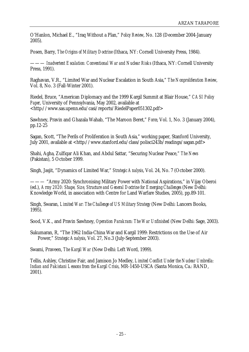O'Hanlon, Michael E., "Iraq Without a Plan," *Policy Review*, No. 128 (December 2004-January 2005).

Posen, Barry, *The Origins of Military Doctrine* (Ithaca, NY: Cornell University Press, 1984).

——— *Inadvertent Escalation: Conventional War and Nuclear Risks* (Ithaca, NY: Cornell University Press, 1991).

Raghavan, V.R., "Limited War and Nuclear Escalation in South Asia," *The Nonproliferation Review*, Vol. 8, No. 3 (Fall-Winter 2001).

Riedel, Bruce, "American Diplomacy and the 1999 Kargil Summit at Blair House," *CASI Policy Paper*, University of Pennsylvania, May 2002, available at <http://www.sas.upenn.edu/casi/reports/RiedelPaper051302.pdf>

Sawhney, Pravin and Ghazala Wahab, "The Maroon Beret," *Force*, Vol. 1, No. 3 (January 2004), pp.12-25

Sagan, Scott, "The Perils of Proliferation in South Asia," working paper, Stanford University, July 2001, available at <http://www.stanford.edu/class/polisci243b/readings/sagan.pdf>

Shahi, Agha, Zulfiqar Ali Khan, and Abdul Sattar, "Securing Nuclear Peace," *The News* (Pakistan), 5 October 1999.

Singh, Jasjit, "Dynamics of Limited War," *Strategic Analysis*, Vol. 24, No. 7 (October 2000).

——— "Army 2020: Synchronising Military Power with National Aspirations," in Vijay Oberoi (ed.), *Army 2020: Shape, Size, Structure and General Doctrine for Emerging Challenges* (New Delhi: Knowledge World, in association with Centre for Land Warfare Studies, 2005), pp.89-101.

Singh, Swaran, *Limited War: The Challenge of US Military Strategy* (New Delhi: Lancers Books, 1995).

Sood, V.K., and Pravin Sawhney, *Operation Parakram: The War Unfinished* (New Delhi: Sage, 2003).

Sukumaran, R, "The 1962 India-China War and Kargil 1999: Restrictions on the Use of Air Power," *Strategic Analysis*, Vol. 27, No.3 (July-September 2003).

Swami, Praveen, *The Kargil War* (New Delhi: Left Word, 1999).

Tellis, Ashley, Christine Fair, and Jamison Jo Medley, *Limited Conflict Under the Nuclear Umbrella: Indian and Pakistani Lessons from the Kargil Crisis*, MR-1450-USCA (Santa Monica, Ca.: RAND, 2001).